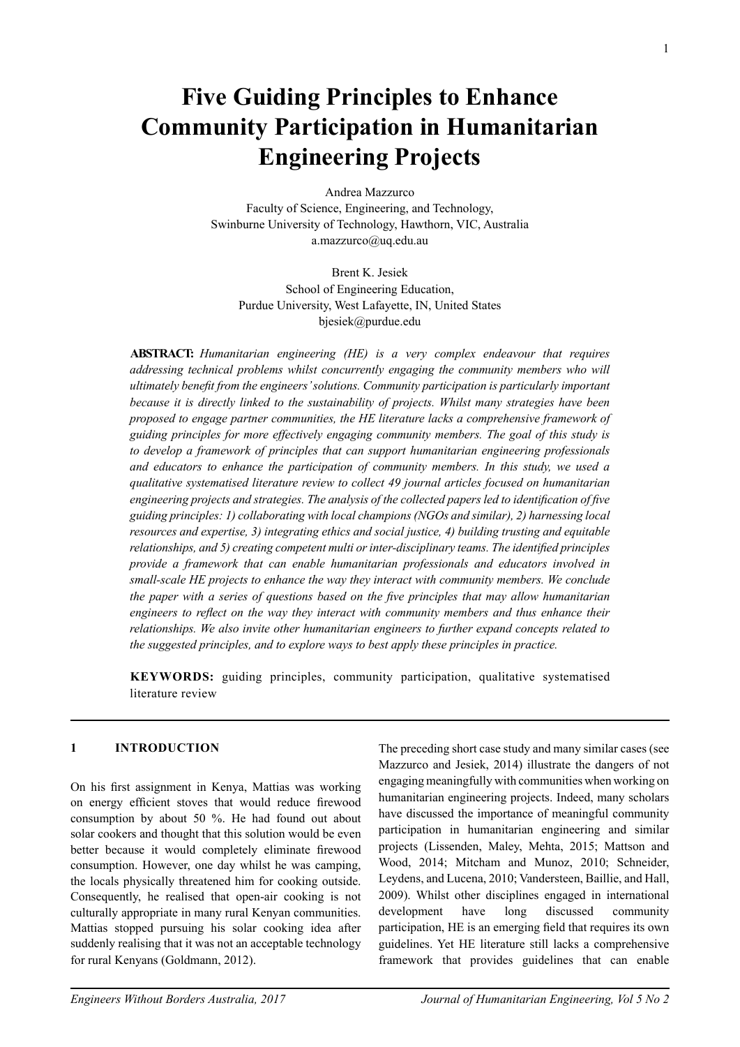# **Five Guiding Principles to Enhance Community Participation in Humanitarian Engineering Projects**

Andrea Mazzurco Faculty of Science, Engineering, and Technology, Swinburne University of Technology, Hawthorn, VIC, Australia a.mazzurco@uq.edu.au

Brent K. Jesiek School of Engineering Education, Purdue University, West Lafayette, IN, United States bjesiek@purdue.edu

**Abstract:** *Humanitarian engineering (HE) is a very complex endeavour that requires addressing technical problems whilst concurrently engaging the community members who will ultimately benefit from the engineers' solutions. Community participation is particularly important because it is directly linked to the sustainability of projects. Whilst many strategies have been proposed to engage partner communities, the HE literature lacks a comprehensive framework of guiding principles for more effectively engaging community members. The goal of this study is to develop a framework of principles that can support humanitarian engineering professionals and educators to enhance the participation of community members. In this study, we used a qualitative systematised literature review to collect 49 journal articles focused on humanitarian engineering projects and strategies. The analysis of the collected papers led to identification of five guiding principles: 1) collaborating with local champions (NGOs and similar), 2) harnessing local resources and expertise, 3) integrating ethics and social justice, 4) building trusting and equitable relationships, and 5) creating competent multi or inter-disciplinary teams. The identified principles provide a framework that can enable humanitarian professionals and educators involved in small-scale HE projects to enhance the way they interact with community members. We conclude the paper with a series of questions based on the five principles that may allow humanitarian engineers to reflect on the way they interact with community members and thus enhance their relationships. We also invite other humanitarian engineers to further expand concepts related to the suggested principles, and to explore ways to best apply these principles in practice.* 

**Keywords:** guiding principles, community participation, qualitative systematised literature review

## **1 INTRODUCTION**

On his first assignment in Kenya, Mattias was working on energy efficient stoves that would reduce firewood consumption by about 50 %. He had found out about solar cookers and thought that this solution would be even better because it would completely eliminate firewood consumption. However, one day whilst he was camping, the locals physically threatened him for cooking outside. Consequently, he realised that open-air cooking is not culturally appropriate in many rural Kenyan communities. Mattias stopped pursuing his solar cooking idea after suddenly realising that it was not an acceptable technology for rural Kenyans (Goldmann, 2012).

The preceding short case study and many similar cases (see Mazzurco and Jesiek, 2014) illustrate the dangers of not engaging meaningfully with communities when working on humanitarian engineering projects. Indeed, many scholars have discussed the importance of meaningful community participation in humanitarian engineering and similar projects (Lissenden, Maley, Mehta, 2015; Mattson and Wood, 2014; Mitcham and Munoz, 2010; Schneider, Leydens, and Lucena, 2010; Vandersteen, Baillie, and Hall, 2009). Whilst other disciplines engaged in international development have long discussed community participation, HE is an emerging field that requires its own guidelines. Yet HE literature still lacks a comprehensive framework that provides guidelines that can enable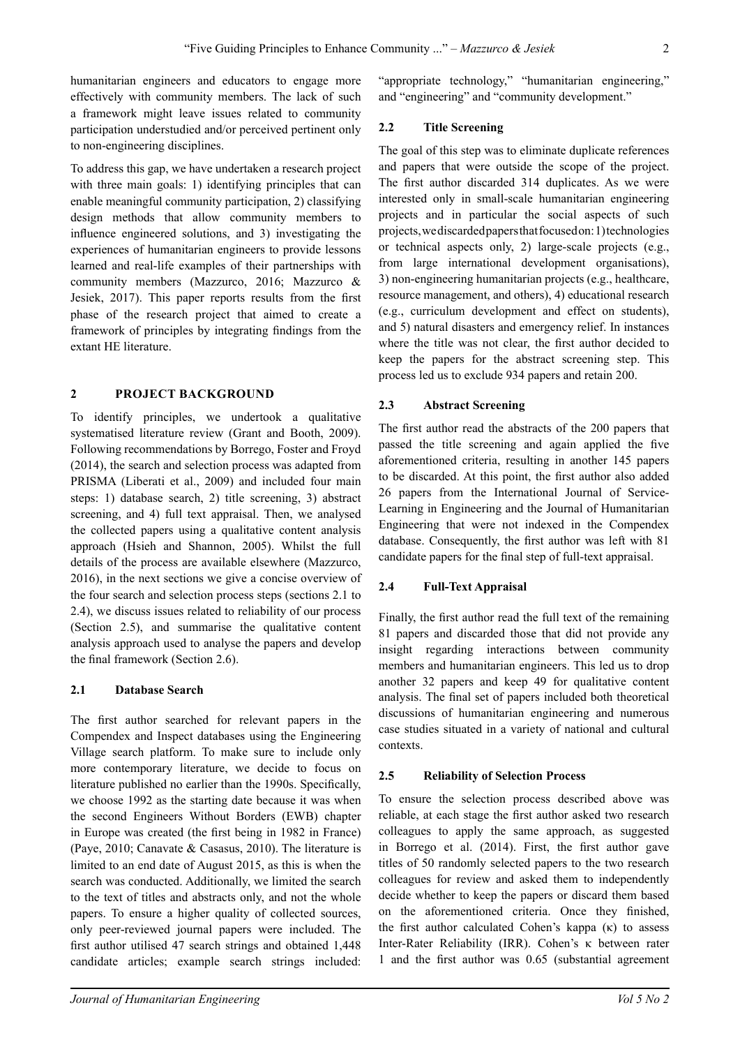humanitarian engineers and educators to engage more effectively with community members. The lack of such a framework might leave issues related to community participation understudied and/or perceived pertinent only to non-engineering disciplines.

To address this gap, we have undertaken a research project with three main goals: 1) identifying principles that can enable meaningful community participation, 2) classifying design methods that allow community members to influence engineered solutions, and 3) investigating the experiences of humanitarian engineers to provide lessons learned and real-life examples of their partnerships with community members (Mazzurco, 2016; Mazzurco & Jesiek, 2017). This paper reports results from the first phase of the research project that aimed to create a framework of principles by integrating findings from the extant HE literature.

#### **2 Project Background**

To identify principles, we undertook a qualitative systematised literature review (Grant and Booth, 2009). Following recommendations by Borrego, Foster and Froyd (2014), the search and selection process was adapted from PRISMA (Liberati et al., 2009) and included four main steps: 1) database search, 2) title screening, 3) abstract screening, and 4) full text appraisal. Then, we analysed the collected papers using a qualitative content analysis approach (Hsieh and Shannon, 2005). Whilst the full details of the process are available elsewhere (Mazzurco, 2016), in the next sections we give a concise overview of the four search and selection process steps (sections 2.1 to 2.4), we discuss issues related to reliability of our process (Section 2.5), and summarise the qualitative content analysis approach used to analyse the papers and develop the final framework (Section 2.6).

#### **2.1 Database Search**

The first author searched for relevant papers in the Compendex and Inspect databases using the Engineering Village search platform. To make sure to include only more contemporary literature, we decide to focus on literature published no earlier than the 1990s. Specifically, we choose 1992 as the starting date because it was when the second Engineers Without Borders (EWB) chapter in Europe was created (the first being in 1982 in France) (Paye, 2010; Canavate & Casasus, 2010). The literature is limited to an end date of August 2015, as this is when the search was conducted. Additionally, we limited the search to the text of titles and abstracts only, and not the whole papers. To ensure a higher quality of collected sources, only peer-reviewed journal papers were included. The first author utilised 47 search strings and obtained 1,448 candidate articles; example search strings included:

"appropriate technology," "humanitarian engineering," and "engineering" and "community development."

## **2.2 Title Screening**

The goal of this step was to eliminate duplicate references and papers that were outside the scope of the project. The first author discarded 314 duplicates. As we were interested only in small-scale humanitarian engineering projects and in particular the social aspects of such projects, we discarded papers that focused on: 1) technologies or technical aspects only, 2) large-scale projects (e.g., from large international development organisations), 3) non-engineering humanitarian projects (e.g., healthcare, resource management, and others), 4) educational research (e.g., curriculum development and effect on students), and 5) natural disasters and emergency relief. In instances where the title was not clear, the first author decided to keep the papers for the abstract screening step. This process led us to exclude 934 papers and retain 200.

### **2.3 Abstract Screening**

The first author read the abstracts of the 200 papers that passed the title screening and again applied the five aforementioned criteria, resulting in another 145 papers to be discarded. At this point, the first author also added 26 papers from the International Journal of Service-Learning in Engineering and the Journal of Humanitarian Engineering that were not indexed in the Compendex database. Consequently, the first author was left with 81 candidate papers for the final step of full-text appraisal.

## **2.4 Full-Text Appraisal**

Finally, the first author read the full text of the remaining 81 papers and discarded those that did not provide any insight regarding interactions between community members and humanitarian engineers. This led us to drop another 32 papers and keep 49 for qualitative content analysis. The final set of papers included both theoretical discussions of humanitarian engineering and numerous case studies situated in a variety of national and cultural contexts.

#### **2.5 Reliability of Selection Process**

To ensure the selection process described above was reliable, at each stage the first author asked two research colleagues to apply the same approach, as suggested in Borrego et al. (2014). First, the first author gave titles of 50 randomly selected papers to the two research colleagues for review and asked them to independently decide whether to keep the papers or discard them based on the aforementioned criteria. Once they finished, the first author calculated Cohen's kappa  $(κ)$  to assess Inter-Rater Reliability (IRR). Cohen's κ between rater 1 and the first author was 0.65 (substantial agreement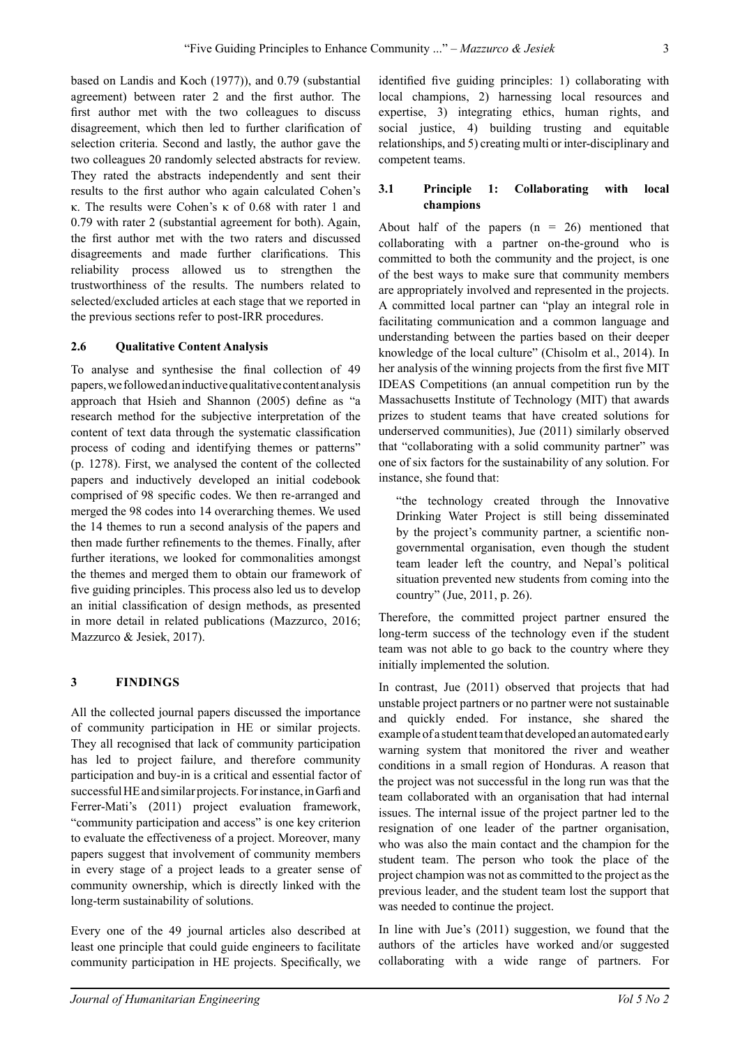based on Landis and Koch (1977)), and 0.79 (substantial agreement) between rater 2 and the first author. The first author met with the two colleagues to discuss disagreement, which then led to further clarification of selection criteria. Second and lastly, the author gave the two colleagues 20 randomly selected abstracts for review. They rated the abstracts independently and sent their results to the first author who again calculated Cohen's κ. The results were Cohen's κ of 0.68 with rater 1 and 0.79 with rater 2 (substantial agreement for both). Again, the first author met with the two raters and discussed disagreements and made further clarifications. This reliability process allowed us to strengthen the trustworthiness of the results. The numbers related to selected/excluded articles at each stage that we reported in the previous sections refer to post-IRR procedures.

### **2.6 Qualitative Content Analysis**

To analyse and synthesise the final collection of 49 papers, we followed an inductive qualitative content analysis approach that Hsieh and Shannon (2005) define as "a research method for the subjective interpretation of the content of text data through the systematic classification process of coding and identifying themes or patterns" (p. 1278). First, we analysed the content of the collected papers and inductively developed an initial codebook comprised of 98 specific codes. We then re-arranged and merged the 98 codes into 14 overarching themes. We used the 14 themes to run a second analysis of the papers and then made further refinements to the themes. Finally, after further iterations, we looked for commonalities amongst the themes and merged them to obtain our framework of five guiding principles. This process also led us to develop an initial classification of design methods, as presented in more detail in related publications (Mazzurco, 2016; Mazzurco & Jesiek, 2017).

## **3 Findings**

All the collected journal papers discussed the importance of community participation in HE or similar projects. They all recognised that lack of community participation has led to project failure, and therefore community participation and buy-in is a critical and essential factor of successful HE and similar projects. For instance, in Garfi and Ferrer-Mati's (2011) project evaluation framework, "community participation and access" is one key criterion to evaluate the effectiveness of a project. Moreover, many papers suggest that involvement of community members in every stage of a project leads to a greater sense of community ownership, which is directly linked with the long-term sustainability of solutions.

Every one of the 49 journal articles also described at least one principle that could guide engineers to facilitate community participation in HE projects. Specifically, we

identified five guiding principles: 1) collaborating with local champions, 2) harnessing local resources and expertise, 3) integrating ethics, human rights, and social justice, 4) building trusting and equitable relationships, and 5) creating multi or inter-disciplinary and competent teams.

## **3.1 Principle 1: Collaborating with local champions**

About half of the papers  $(n = 26)$  mentioned that collaborating with a partner on-the-ground who is committed to both the community and the project, is one of the best ways to make sure that community members are appropriately involved and represented in the projects. A committed local partner can "play an integral role in facilitating communication and a common language and understanding between the parties based on their deeper knowledge of the local culture" (Chisolm et al., 2014). In her analysis of the winning projects from the first five MIT IDEAS Competitions (an annual competition run by the Massachusetts Institute of Technology (MIT) that awards prizes to student teams that have created solutions for underserved communities), Jue (2011) similarly observed that "collaborating with a solid community partner" was one of six factors for the sustainability of any solution. For instance, she found that:

"the technology created through the Innovative Drinking Water Project is still being disseminated by the project's community partner, a scientific nongovernmental organisation, even though the student team leader left the country, and Nepal's political situation prevented new students from coming into the country" (Jue, 2011, p. 26).

Therefore, the committed project partner ensured the long-term success of the technology even if the student team was not able to go back to the country where they initially implemented the solution.

In contrast, Jue (2011) observed that projects that had unstable project partners or no partner were not sustainable and quickly ended. For instance, she shared the example of a student team that developed an automated early warning system that monitored the river and weather conditions in a small region of Honduras. A reason that the project was not successful in the long run was that the team collaborated with an organisation that had internal issues. The internal issue of the project partner led to the resignation of one leader of the partner organisation, who was also the main contact and the champion for the student team. The person who took the place of the project champion was not as committed to the project as the previous leader, and the student team lost the support that was needed to continue the project.

In line with Jue's (2011) suggestion, we found that the authors of the articles have worked and/or suggested collaborating with a wide range of partners. For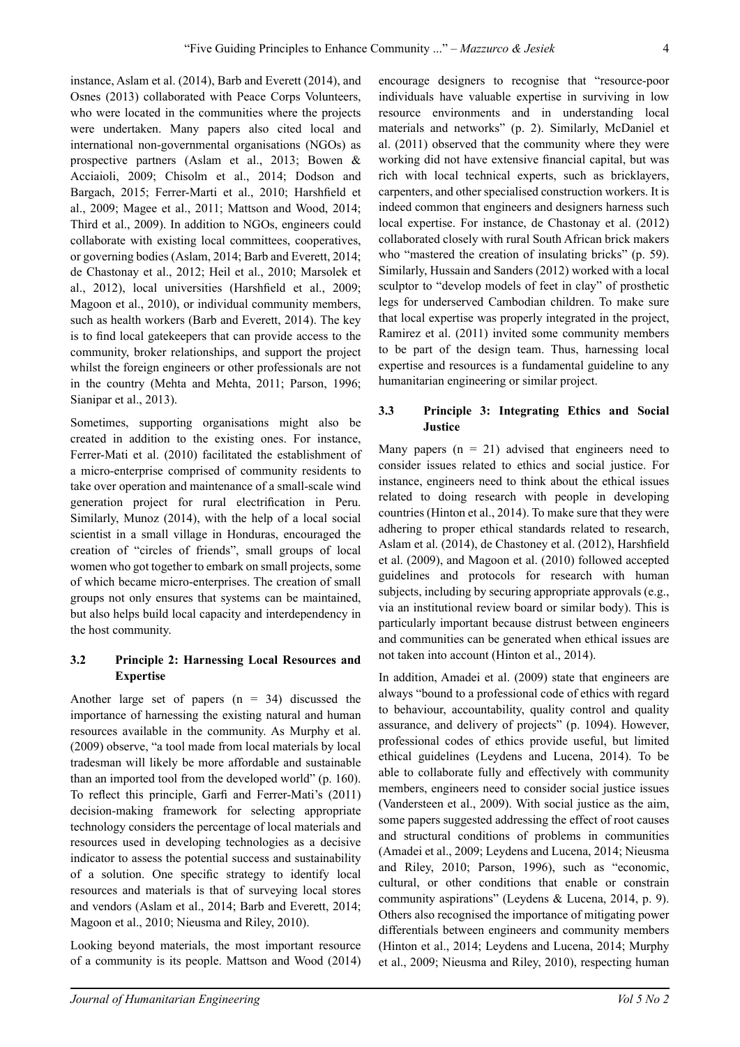instance, Aslam et al. (2014), Barb and Everett (2014), and Osnes (2013) collaborated with Peace Corps Volunteers, who were located in the communities where the projects were undertaken. Many papers also cited local and international non-governmental organisations (NGOs) as prospective partners (Aslam et al., 2013; Bowen & Acciaioli, 2009; Chisolm et al., 2014; Dodson and Bargach, 2015; Ferrer-Marti et al., 2010; Harshfield et al., 2009; Magee et al., 2011; Mattson and Wood, 2014; Third et al., 2009). In addition to NGOs, engineers could collaborate with existing local committees, cooperatives, or governing bodies (Aslam, 2014; Barb and Everett, 2014; de Chastonay et al., 2012; Heil et al., 2010; Marsolek et al., 2012), local universities (Harshfield et al., 2009; Magoon et al., 2010), or individual community members, such as health workers (Barb and Everett, 2014). The key is to find local gatekeepers that can provide access to the community, broker relationships, and support the project whilst the foreign engineers or other professionals are not in the country (Mehta and Mehta, 2011; Parson, 1996; Sianipar et al., 2013).

Sometimes, supporting organisations might also be created in addition to the existing ones. For instance, Ferrer-Mati et al. (2010) facilitated the establishment of a micro-enterprise comprised of community residents to take over operation and maintenance of a small-scale wind generation project for rural electrification in Peru. Similarly, Munoz (2014), with the help of a local social scientist in a small village in Honduras, encouraged the creation of "circles of friends", small groups of local women who got together to embark on small projects, some of which became micro-enterprises. The creation of small groups not only ensures that systems can be maintained, but also helps build local capacity and interdependency in the host community.

# **3.2 Principle 2: Harnessing Local Resources and Expertise**

Another large set of papers  $(n = 34)$  discussed the importance of harnessing the existing natural and human resources available in the community. As Murphy et al. (2009) observe, "a tool made from local materials by local tradesman will likely be more affordable and sustainable than an imported tool from the developed world" (p. 160). To reflect this principle, Garfi and Ferrer-Mati's (2011) decision-making framework for selecting appropriate technology considers the percentage of local materials and resources used in developing technologies as a decisive indicator to assess the potential success and sustainability of a solution. One specific strategy to identify local resources and materials is that of surveying local stores and vendors (Aslam et al., 2014; Barb and Everett, 2014; Magoon et al., 2010; Nieusma and Riley, 2010).

Looking beyond materials, the most important resource of a community is its people. Mattson and Wood (2014) encourage designers to recognise that "resource-poor individuals have valuable expertise in surviving in low resource environments and in understanding local materials and networks" (p. 2). Similarly, McDaniel et al. (2011) observed that the community where they were working did not have extensive financial capital, but was rich with local technical experts, such as bricklayers, carpenters, and other specialised construction workers. It is indeed common that engineers and designers harness such local expertise. For instance, de Chastonay et al. (2012) collaborated closely with rural South African brick makers who "mastered the creation of insulating bricks" (p. 59). Similarly, Hussain and Sanders (2012) worked with a local sculptor to "develop models of feet in clay" of prosthetic legs for underserved Cambodian children. To make sure that local expertise was properly integrated in the project, Ramirez et al. (2011) invited some community members to be part of the design team. Thus, harnessing local expertise and resources is a fundamental guideline to any humanitarian engineering or similar project.

## **3.3 Principle 3: Integrating Ethics and Social Justice**

Many papers  $(n = 21)$  advised that engineers need to consider issues related to ethics and social justice. For instance, engineers need to think about the ethical issues related to doing research with people in developing countries (Hinton et al., 2014). To make sure that they were adhering to proper ethical standards related to research, Aslam et al. (2014), de Chastoney et al. (2012), Harshfield et al. (2009), and Magoon et al. (2010) followed accepted guidelines and protocols for research with human subjects, including by securing appropriate approvals (e.g., via an institutional review board or similar body). This is particularly important because distrust between engineers and communities can be generated when ethical issues are not taken into account (Hinton et al., 2014).

In addition, Amadei et al. (2009) state that engineers are always "bound to a professional code of ethics with regard to behaviour, accountability, quality control and quality assurance, and delivery of projects" (p. 1094). However, professional codes of ethics provide useful, but limited ethical guidelines (Leydens and Lucena, 2014). To be able to collaborate fully and effectively with community members, engineers need to consider social justice issues (Vandersteen et al., 2009). With social justice as the aim, some papers suggested addressing the effect of root causes and structural conditions of problems in communities (Amadei et al., 2009; Leydens and Lucena, 2014; Nieusma and Riley, 2010; Parson, 1996), such as "economic, cultural, or other conditions that enable or constrain community aspirations" (Leydens & Lucena, 2014, p. 9). Others also recognised the importance of mitigating power differentials between engineers and community members (Hinton et al., 2014; Leydens and Lucena, 2014; Murphy et al., 2009; Nieusma and Riley, 2010), respecting human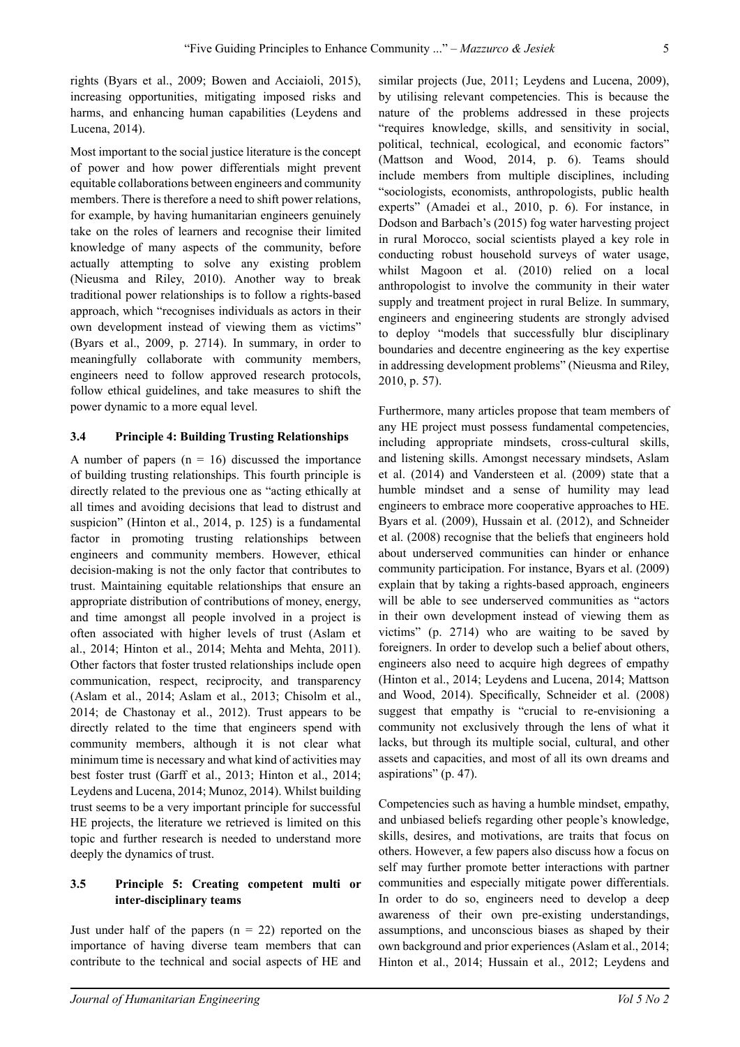rights (Byars et al., 2009; Bowen and Acciaioli, 2015), increasing opportunities, mitigating imposed risks and harms, and enhancing human capabilities (Leydens and Lucena, 2014).

Most important to the social justice literature is the concept of power and how power differentials might prevent equitable collaborations between engineers and community members. There is therefore a need to shift power relations, for example, by having humanitarian engineers genuinely take on the roles of learners and recognise their limited knowledge of many aspects of the community, before actually attempting to solve any existing problem (Nieusma and Riley, 2010). Another way to break traditional power relationships is to follow a rights-based approach, which "recognises individuals as actors in their own development instead of viewing them as victims" (Byars et al., 2009, p. 2714). In summary, in order to meaningfully collaborate with community members, engineers need to follow approved research protocols, follow ethical guidelines, and take measures to shift the power dynamic to a more equal level.

### **3.4 Principle 4: Building Trusting Relationships**

A number of papers  $(n = 16)$  discussed the importance of building trusting relationships. This fourth principle is directly related to the previous one as "acting ethically at all times and avoiding decisions that lead to distrust and suspicion" (Hinton et al., 2014, p. 125) is a fundamental factor in promoting trusting relationships between engineers and community members. However, ethical decision-making is not the only factor that contributes to trust. Maintaining equitable relationships that ensure an appropriate distribution of contributions of money, energy, and time amongst all people involved in a project is often associated with higher levels of trust (Aslam et al., 2014; Hinton et al., 2014; Mehta and Mehta, 2011). Other factors that foster trusted relationships include open communication, respect, reciprocity, and transparency (Aslam et al., 2014; Aslam et al., 2013; Chisolm et al., 2014; de Chastonay et al., 2012). Trust appears to be directly related to the time that engineers spend with community members, although it is not clear what minimum time is necessary and what kind of activities may best foster trust (Garff et al., 2013; Hinton et al., 2014; Leydens and Lucena, 2014; Munoz, 2014). Whilst building trust seems to be a very important principle for successful HE projects, the literature we retrieved is limited on this topic and further research is needed to understand more deeply the dynamics of trust.

## **3.5 Principle 5: Creating competent multi or inter-disciplinary teams**

Just under half of the papers  $(n = 22)$  reported on the importance of having diverse team members that can contribute to the technical and social aspects of HE and similar projects (Jue, 2011; Leydens and Lucena, 2009), by utilising relevant competencies. This is because the nature of the problems addressed in these projects "requires knowledge, skills, and sensitivity in social, political, technical, ecological, and economic factors" (Mattson and Wood, 2014, p. 6). Teams should include members from multiple disciplines, including "sociologists, economists, anthropologists, public health experts" (Amadei et al., 2010, p. 6). For instance, in Dodson and Barbach's (2015) fog water harvesting project in rural Morocco, social scientists played a key role in conducting robust household surveys of water usage, whilst Magoon et al. (2010) relied on a local anthropologist to involve the community in their water supply and treatment project in rural Belize. In summary, engineers and engineering students are strongly advised to deploy "models that successfully blur disciplinary boundaries and decentre engineering as the key expertise in addressing development problems" (Nieusma and Riley, 2010, p. 57).

Furthermore, many articles propose that team members of any HE project must possess fundamental competencies, including appropriate mindsets, cross-cultural skills, and listening skills. Amongst necessary mindsets, Aslam et al. (2014) and Vandersteen et al. (2009) state that a humble mindset and a sense of humility may lead engineers to embrace more cooperative approaches to HE. Byars et al. (2009), Hussain et al. (2012), and Schneider et al. (2008) recognise that the beliefs that engineers hold about underserved communities can hinder or enhance community participation. For instance, Byars et al. (2009) explain that by taking a rights-based approach, engineers will be able to see underserved communities as "actors in their own development instead of viewing them as victims" (p. 2714) who are waiting to be saved by foreigners. In order to develop such a belief about others, engineers also need to acquire high degrees of empathy (Hinton et al., 2014; Leydens and Lucena, 2014; Mattson and Wood, 2014). Specifically, Schneider et al. (2008) suggest that empathy is "crucial to re-envisioning a community not exclusively through the lens of what it lacks, but through its multiple social, cultural, and other assets and capacities, and most of all its own dreams and aspirations" (p. 47).

Competencies such as having a humble mindset, empathy, and unbiased beliefs regarding other people's knowledge, skills, desires, and motivations, are traits that focus on others. However, a few papers also discuss how a focus on self may further promote better interactions with partner communities and especially mitigate power differentials. In order to do so, engineers need to develop a deep awareness of their own pre-existing understandings, assumptions, and unconscious biases as shaped by their own background and prior experiences (Aslam et al., 2014; Hinton et al., 2014; Hussain et al., 2012; Leydens and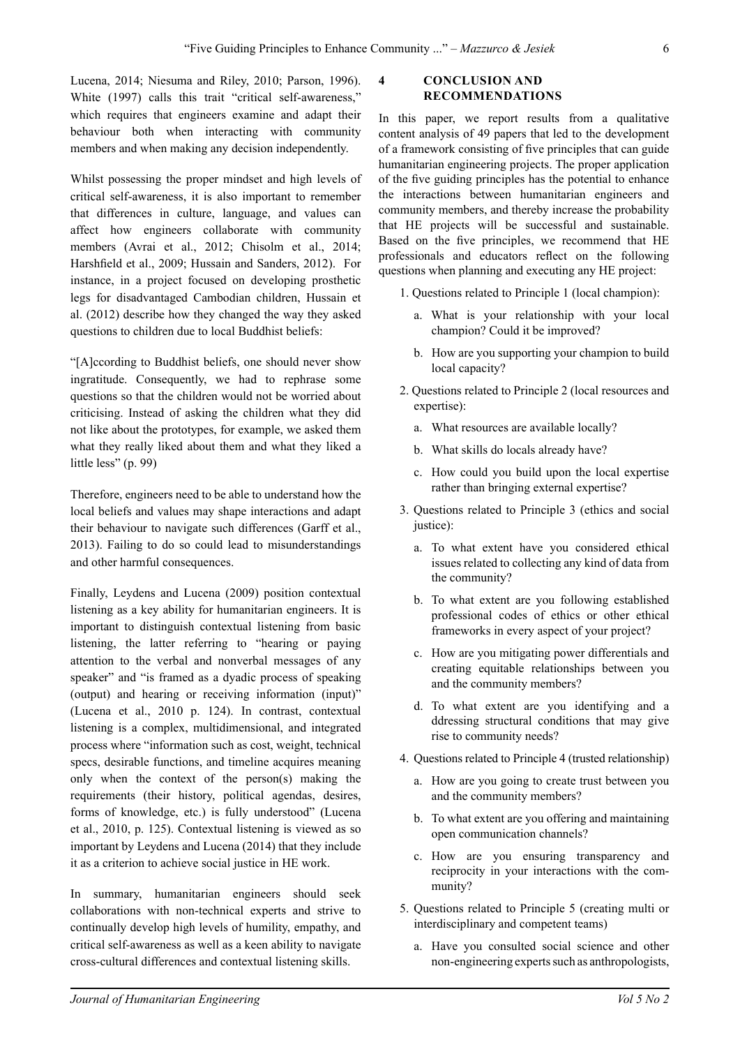Lucena, 2014; Niesuma and Riley, 2010; Parson, 1996). White (1997) calls this trait "critical self-awareness," which requires that engineers examine and adapt their behaviour both when interacting with community members and when making any decision independently.

Whilst possessing the proper mindset and high levels of critical self-awareness, it is also important to remember that differences in culture, language, and values can affect how engineers collaborate with community members (Avrai et al., 2012; Chisolm et al., 2014; Harshfield et al., 2009; Hussain and Sanders, 2012). For instance, in a project focused on developing prosthetic legs for disadvantaged Cambodian children, Hussain et al. (2012) describe how they changed the way they asked questions to children due to local Buddhist beliefs:

"[A]ccording to Buddhist beliefs, one should never show ingratitude. Consequently, we had to rephrase some questions so that the children would not be worried about criticising. Instead of asking the children what they did not like about the prototypes, for example, we asked them what they really liked about them and what they liked a little less" (p. 99)

Therefore, engineers need to be able to understand how the local beliefs and values may shape interactions and adapt their behaviour to navigate such differences (Garff et al., 2013). Failing to do so could lead to misunderstandings and other harmful consequences.

Finally, Leydens and Lucena (2009) position contextual listening as a key ability for humanitarian engineers. It is important to distinguish contextual listening from basic listening, the latter referring to "hearing or paying attention to the verbal and nonverbal messages of any speaker" and "is framed as a dyadic process of speaking (output) and hearing or receiving information (input)" (Lucena et al., 2010 p. 124). In contrast, contextual listening is a complex, multidimensional, and integrated process where "information such as cost, weight, technical specs, desirable functions, and timeline acquires meaning only when the context of the person(s) making the requirements (their history, political agendas, desires, forms of knowledge, etc.) is fully understood" (Lucena et al., 2010, p. 125). Contextual listening is viewed as so important by Leydens and Lucena (2014) that they include it as a criterion to achieve social justice in HE work.

In summary, humanitarian engineers should seek collaborations with non-technical experts and strive to continually develop high levels of humility, empathy, and critical self-awareness as well as a keen ability to navigate cross-cultural differences and contextual listening skills.

#### **4 Conclusion and Recommendations**

In this paper, we report results from a qualitative content analysis of 49 papers that led to the development of a framework consisting of five principles that can guide humanitarian engineering projects. The proper application of the five guiding principles has the potential to enhance the interactions between humanitarian engineers and community members, and thereby increase the probability that HE projects will be successful and sustainable. Based on the five principles, we recommend that HE professionals and educators reflect on the following questions when planning and executing any HE project:

- 1. Questions related to Principle 1 (local champion):
	- a. What is your relationship with your local champion? Could it be improved?
	- b. How are you supporting your champion to build local capacity?
- 2. Questions related to Principle 2 (local resources and expertise):
	- a. What resources are available locally?
	- b. What skills do locals already have?
	- c. How could you build upon the local expertise rather than bringing external expertise?
- 3. Questions related to Principle 3 (ethics and social justice):
	- a. To what extent have you considered ethical issues related to collecting any kind of data from the community?
	- b. To what extent are you following established professional codes of ethics or other ethical frameworks in every aspect of your project?
	- c. How are you mitigating power differentials and creating equitable relationships between you and the community members?
	- d. To what extent are you identifying and a ddressing structural conditions that may give rise to community needs?
- 4. Questions related to Principle 4 (trusted relationship)
	- a. How are you going to create trust between you and the community members?
	- b. To what extent are you offering and maintaining open communication channels?
	- c. How are you ensuring transparency and reciprocity in your interactions with the community?
- 5. Questions related to Principle 5 (creating multi or interdisciplinary and competent teams)
	- a. Have you consulted social science and other non-engineering experts such as anthropologists,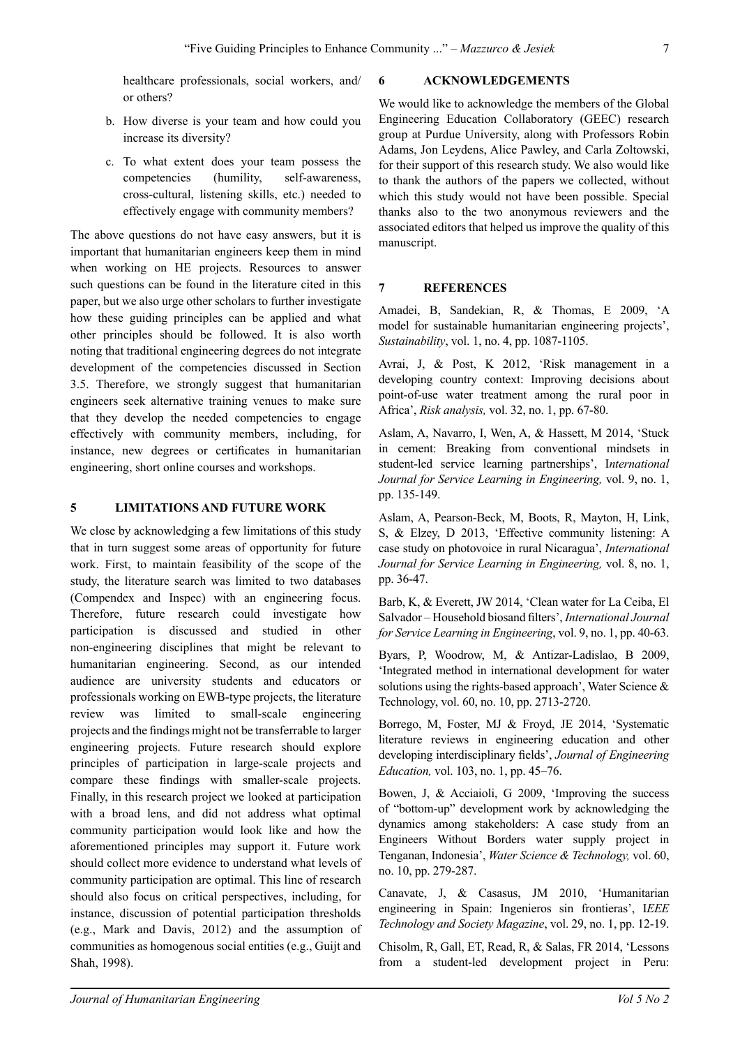healthcare professionals, social workers, and/ or others?

- b. How diverse is your team and how could you increase its diversity?
- c. To what extent does your team possess the competencies (humility, self-awareness, cross-cultural, listening skills, etc.) needed to effectively engage with community members?

The above questions do not have easy answers, but it is important that humanitarian engineers keep them in mind when working on HE projects. Resources to answer such questions can be found in the literature cited in this paper, but we also urge other scholars to further investigate how these guiding principles can be applied and what other principles should be followed. It is also worth noting that traditional engineering degrees do not integrate development of the competencies discussed in Section 3.5. Therefore, we strongly suggest that humanitarian engineers seek alternative training venues to make sure that they develop the needed competencies to engage effectively with community members, including, for instance, new degrees or certificates in humanitarian engineering, short online courses and workshops.

## **5 LIMITATIONS AND FUTURE WORK**

We close by acknowledging a few limitations of this study that in turn suggest some areas of opportunity for future work. First, to maintain feasibility of the scope of the study, the literature search was limited to two databases (Compendex and Inspec) with an engineering focus. Therefore, future research could investigate how participation is discussed and studied in other non-engineering disciplines that might be relevant to humanitarian engineering. Second, as our intended audience are university students and educators or professionals working on EWB-type projects, the literature review was limited to small-scale engineering projects and the findings might not be transferrable to larger engineering projects. Future research should explore principles of participation in large-scale projects and compare these findings with smaller-scale projects. Finally, in this research project we looked at participation with a broad lens, and did not address what optimal community participation would look like and how the aforementioned principles may support it. Future work should collect more evidence to understand what levels of community participation are optimal. This line of research should also focus on critical perspectives, including, for instance, discussion of potential participation thresholds (e.g., Mark and Davis, 2012) and the assumption of communities as homogenous social entities (e.g., Guijt and Shah, 1998).

### **6 ACKNOWLEDGEMENTS**

We would like to acknowledge the members of the Global Engineering Education Collaboratory (GEEC) research group at Purdue University, along with Professors Robin Adams, Jon Leydens, Alice Pawley, and Carla Zoltowski, for their support of this research study. We also would like to thank the authors of the papers we collected, without which this study would not have been possible. Special thanks also to the two anonymous reviewers and the associated editors that helped us improve the quality of this manuscript.

# **7 REFERENCES**

Amadei, B, Sandekian, R, & Thomas, E 2009, 'A model for sustainable humanitarian engineering projects', *Sustainability*, vol. 1, no. 4, pp. 1087-1105.

Avrai, J, & Post, K 2012, 'Risk management in a developing country context: Improving decisions about point-of-use water treatment among the rural poor in Africa', *Risk analysis,* vol. 32, no. 1, pp. 67-80.

Aslam, A, Navarro, I, Wen, A, & Hassett, M 2014, 'Stuck in cement: Breaking from conventional mindsets in student-led service learning partnerships', I*nternational Journal for Service Learning in Engineering,* vol. 9, no. 1, pp. 135-149.

Aslam, A, Pearson-Beck, M, Boots, R, Mayton, H, Link, S, & Elzey, D 2013, 'Effective community listening: A case study on photovoice in rural Nicaragua', *International Journal for Service Learning in Engineering,* vol. 8, no. 1, pp. 36-47.

Barb, K, & Everett, JW 2014, 'Clean water for La Ceiba, El Salvador – Household biosand filters', *International Journal for Service Learning in Engineering*, vol. 9, no. 1, pp. 40-63.

Byars, P, Woodrow, M, & Antizar-Ladislao, B 2009, 'Integrated method in international development for water solutions using the rights-based approach', Water Science & Technology, vol. 60, no. 10, pp. 2713-2720.

Borrego, M, Foster, MJ & Froyd, JE 2014, 'Systematic literature reviews in engineering education and other developing interdisciplinary fields', *Journal of Engineering Education,* vol. 103, no. 1, pp. 45–76.

Bowen, J, & Acciaioli, G 2009, 'Improving the success of "bottom-up" development work by acknowledging the dynamics among stakeholders: A case study from an Engineers Without Borders water supply project in Tenganan, Indonesia', *Water Science & Technology,* vol. 60, no. 10, pp. 279-287.

Canavate, J, & Casasus, JM 2010, 'Humanitarian engineering in Spain: Ingenieros sin frontieras', I*EEE Technology and Society Magazine*, vol. 29, no. 1, pp. 12-19.

Chisolm, R, Gall, ET, Read, R, & Salas, FR 2014, 'Lessons from a student-led development project in Peru: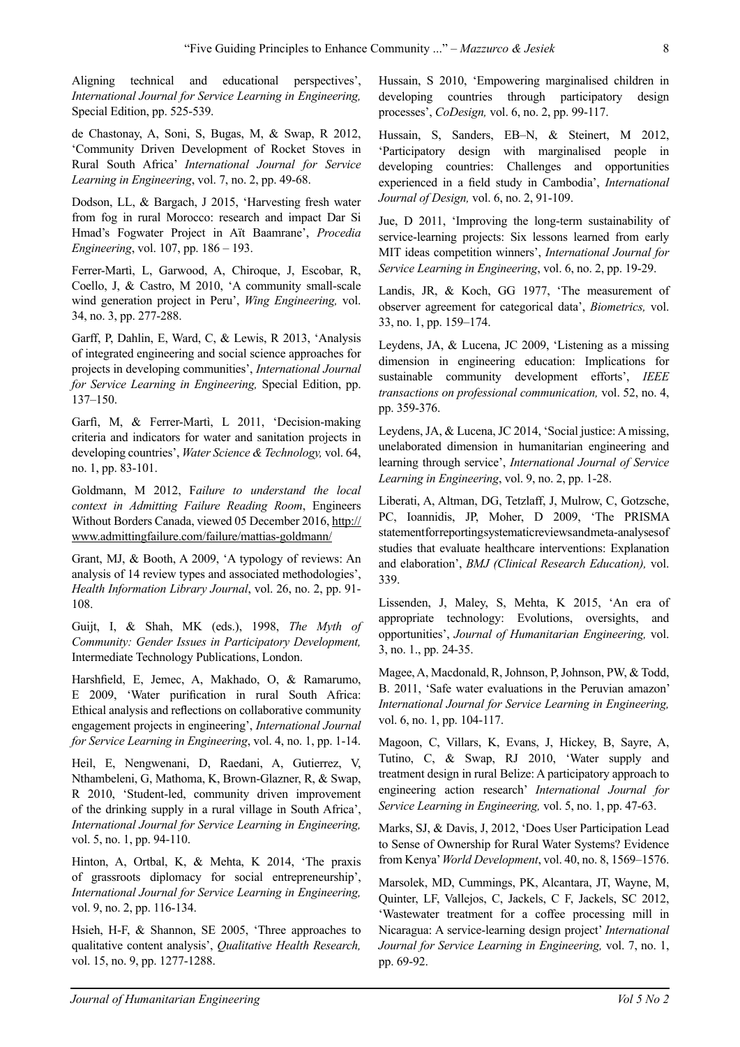Aligning technical and educational perspectives', *International Journal for Service Learning in Engineering,* Special Edition, pp. 525-539.

de Chastonay, A, Soni, S, Bugas, M, & Swap, R 2012, 'Community Driven Development of Rocket Stoves in Rural South Africa' *International Journal for Service Learning in Engineering*, vol. 7, no. 2, pp. 49-68.

Dodson, LL, & Bargach, J 2015, 'Harvesting fresh water from fog in rural Morocco: research and impact Dar Si Hmad's Fogwater Project in Aït Baamrane', *Procedia Engineering*, vol. 107, pp. 186 – 193.

Ferrer-Martì, L, Garwood, A, Chiroque, J, Escobar, R, Coello, J, & Castro, M 2010, 'A community small-scale wind generation project in Peru', *Wing Engineering,* vol. 34, no. 3, pp. 277-288.

Garff, P, Dahlin, E, Ward, C, & Lewis, R 2013, 'Analysis of integrated engineering and social science approaches for projects in developing communities', *International Journal for Service Learning in Engineering,* Special Edition, pp. 137–150.

Garfì, M, & Ferrer-Martì, L 2011, 'Decision-making criteria and indicators for water and sanitation projects in developing countries', *Water Science & Technology,* vol. 64, no. 1, pp. 83-101.

Goldmann, M 2012, F*ailure to understand the local context in Admitting Failure Reading Room*, Engineers Without Borders Canada, viewed 05 December 2016, [http://](http://www.admittingfailure.com/failure/mattias-goldmann/) [www.admittingfailure.com/failure/mattias-goldmann/](http://www.admittingfailure.com/failure/mattias-goldmann/)

Grant, MJ, & Booth, A 2009, 'A typology of reviews: An analysis of 14 review types and associated methodologies', *Health Information Library Journal*, vol. 26, no. 2, pp. 91- 108.

Guijt, I, & Shah, MK (eds.), 1998, *The Myth of Community: Gender Issues in Participatory Development,*  Intermediate Technology Publications, London.

Harshfield, E, Jemec, A, Makhado, O, & Ramarumo, E 2009, 'Water purification in rural South Africa: Ethical analysis and reflections on collaborative community engagement projects in engineering', *International Journal for Service Learning in Engineering*, vol. 4, no. 1, pp. 1-14.

Heil, E, Nengwenani, D, Raedani, A, Gutierrez, V, Nthambeleni, G, Mathoma, K, Brown-Glazner, R, & Swap, R 2010, 'Student-led, community driven improvement of the drinking supply in a rural village in South Africa', *International Journal for Service Learning in Engineering,*  vol. 5, no. 1, pp. 94-110.

Hinton, A, Ortbal, K, & Mehta, K 2014, 'The praxis of grassroots diplomacy for social entrepreneurship', *International Journal for Service Learning in Engineering,* vol. 9, no. 2, pp. 116-134.

Hsieh, H-F, & Shannon, SE 2005, 'Three approaches to qualitative content analysis', *Qualitative Health Research,* vol. 15, no. 9, pp. 1277-1288.

Hussain, S 2010, 'Empowering marginalised children in developing countries through participatory design processes', *CoDesign,* vol. 6, no. 2, pp. 99-117.

Hussain, S, Sanders, EB–N, & Steinert, M 2012, 'Participatory design with marginalised people in developing countries: Challenges and opportunities experienced in a field study in Cambodia', *International Journal of Design,* vol. 6, no. 2, 91-109.

Jue, D 2011, 'Improving the long-term sustainability of service-learning projects: Six lessons learned from early MIT ideas competition winners', *International Journal for Service Learning in Engineering*, vol. 6, no. 2, pp. 19-29.

Landis, JR, & Koch, GG 1977, 'The measurement of observer agreement for categorical data', *Biometrics,* vol. 33, no. 1, pp. 159–174.

Leydens, JA, & Lucena, JC 2009, 'Listening as a missing dimension in engineering education: Implications for sustainable community development efforts', *IEEE transactions on professional communication,* vol. 52, no. 4, pp. 359-376.

Leydens, JA, & Lucena, JC 2014, 'Social justice: A missing, unelaborated dimension in humanitarian engineering and learning through service', *International Journal of Service Learning in Engineering*, vol. 9, no. 2, pp. 1-28.

Liberati, A, Altman, DG, Tetzlaff, J, Mulrow, C, Gotzsche, PC, Ioannidis, JP, Moher, D 2009, 'The PRISMA statement for reporting systematic reviews and meta-analyses of studies that evaluate healthcare interventions: Explanation and elaboration', *BMJ (Clinical Research Education),* vol. 339.

Lissenden, J, Maley, S, Mehta, K 2015, 'An era of appropriate technology: Evolutions, oversights, and opportunities', *Journal of Humanitarian Engineering,* vol. 3, no. 1., pp. 24-35.

Magee, A, Macdonald, R, Johnson, P, Johnson, PW, & Todd, B. 2011, 'Safe water evaluations in the Peruvian amazon' *International Journal for Service Learning in Engineering,* vol. 6, no. 1, pp. 104-117.

Magoon, C, Villars, K, Evans, J, Hickey, B, Sayre, A, Tutino, C, & Swap, RJ 2010, 'Water supply and treatment design in rural Belize: A participatory approach to engineering action research' *International Journal for Service Learning in Engineering,* vol. 5, no. 1, pp. 47-63.

Marks, SJ, & Davis, J, 2012, 'Does User Participation Lead to Sense of Ownership for Rural Water Systems? Evidence from Kenya' *World Development*, vol. 40, no. 8, 1569–1576.

Marsolek, MD, Cummings, PK, Alcantara, JT, Wayne, M, Quinter, LF, Vallejos, C, Jackels, C F, Jackels, SC 2012, 'Wastewater treatment for a coffee processing mill in Nicaragua: A service-learning design project' *International Journal for Service Learning in Engineering,* vol. 7, no. 1, pp. 69-92.